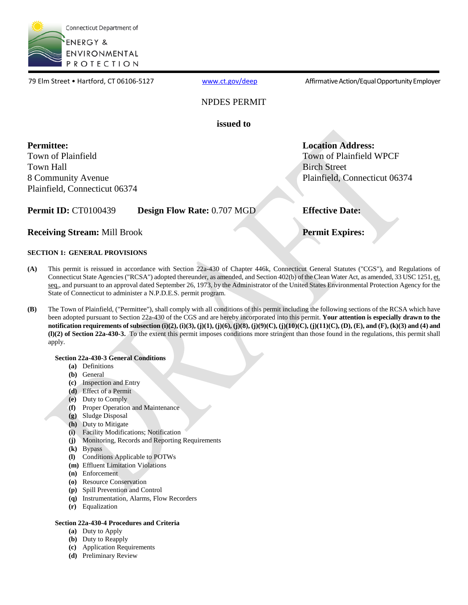

79 Elm Street • Hartford, CT 06106-5127 [www.ct.gov/deep](http://www.ct.gov/deep) Affirmative Action/Equal Opportunity Employer

# NPDES PERMIT

**issued to** 

**Permittee:**  Town of Plainfield Town Hall 8 Community Avenue Plainfield, Connecticut 06374 **Location Address:**  Town of Plainfield WPCF Birch Street Plainfield, Connecticut 06374

**Effective Date:** 

**Receiving Stream:** Mill Brook

# **Permit Expires:**

# **SECTION 1: GENERAL PROVISIONS**

- **(A)** Connecticut State Agencies ("RCSA") adopted thereunder, as amended, and Section 402(b) of the Clean Water Act, as amended, 33 USC 1251, e<u>t.</u> This permit is reissued in accordance with Section 22a-430 of Chapter 446k, Connecticut General Statutes ("CGS"), and Regulations of seq., and pursuant to an approval dated September 26, 1973, by the Administrator of the United States Environmental Protection Agency for the State of Connecticut to administer a N.P.D.E.S. permit program.
- **(B) (l)(2) of Section 22a-430-3.** To the extent this permit imposes conditions more stringent than those found in the regulations, this permit shall The Town of Plainfield, ("Permittee"), shall comply with all conditions of this permit including the following sections of the RCSA which have been adopted pursuant to Section 22a-430 of the CGS and are hereby incorporated into this permit. **Your attention is especially drawn to the notification requirements of subsection (i)(2), (i)(3), (j)(1), (j)(6), (j)(8), (j)(9)(C), (j)(10)(C), (j)(11)(C), (D), (E), and (F), (k)(3) and (4) and**  apply.

## **Section 22a-430-3 General Conditions**

- **(a)** Definitions
- **(b)** General
- **(c)** Inspection and Entry
- **(d)** Effect of a Permit
- **(e)** Duty to Comply
- **(f)** Proper Operation and Maintenance
- **(g)** Sludge Disposal
- **(h)** Duty to Mitigate
- **(i)** Facility Modifications; Notification
- **(j)** Monitoring, Records and Reporting Requirements

**Permit ID: CT0100439 Design Flow Rate: 0.707 MGD** 

- **(k)** Bypass
- **(l)** Conditions Applicable to POTWs
- **(m)** Effluent Limitation Violations
- **(n)** Enforcement
- **(o)** Resource Conservation
- **(p)** Spill Prevention and Control
- **(q)** Instrumentation, Alarms, Flow Recorders
- **(r)** Equalization

#### **Section 22a-430-4 Procedures and Criteria**

- **(a)** Duty to Apply
- **(b)** Duty to Reapply
- **(c)** Application Requirements
- **(d)** Preliminary Review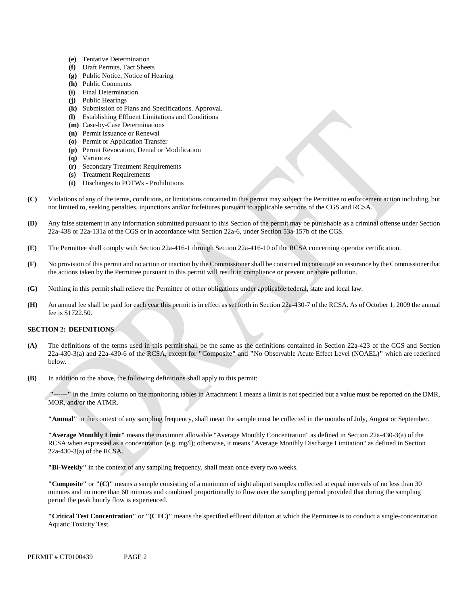- **(e)** Tentative Determination
- **(f)** Draft Permits, Fact Sheets
- **(g)** Public Notice, Notice of Hearing
- **(h)** Public Comments
- **(i)** Final Determination
- **(j)** Public Hearings
- **(k)** Submission of Plans and Specifications. Approval.
- **(l)** Establishing Effluent Limitations and Conditions
- **(m)** Case-by-Case Determinations
- **(n)** Permit Issuance or Renewal
- **(o)** Permit or Application Transfer
- **(p)** Permit Revocation, Denial or Modification
- **(q)** Variances
- **(r)** Secondary Treatment Requirements
- **(s)** Treatment Requirements
- **(t)** Discharges to POTWs Prohibitions
- Violations of any of the terms, conditions, or limitations contained in this permit may subject the Permittee to enforcement action including, but **(C)** not limited to, seeking penalties, injunctions and/or forfeitures pursuant to applicable sections of the CGS and RCSA.
- **(D)** Any false statement in any information submitted pursuant to this Section of the permit may be punishable as a criminal offense under Section 22a-438 or 22a-131a of the CGS or in accordance with Section 22a-6, under Section 53a-157b of the CGS.
- **(E)** The Permittee shall comply with Section 22a-416-1 through Section 22a-416-10 of the RCSA concerning operator certification.
- No provision of this permit and no action or inaction by the Commissioner shall be construed to constitute an assurance by the Commissioner that **(F)** the actions taken by the Permittee pursuant to this permit will result in compliance or prevent or abate pollution.
- **(G)** Nothing in this permit shall relieve the Permittee of other obligations under applicable federal, state and local law.
- An annual fee shall be paid for each year this permit is in effect as set forth in Section 22a-430-7 of the RCSA. As of October 1, 2009 the annual **(H)** fee is \$1722.50.

# **SECTION 2: DEFINITIONS**

- **(A)** The definitions of the terms used in this permit shall be the same as the definitions contained in Section 22a-423 of the CGS and Section 22a-430-3(a) and 22a-430-6 of the RCSA, except for **"**Composite**"** and **"**No Observable Acute Effect Level (NOAEL)**"** which are redefined below.
- **(B)**  In addition to the above, the following definitions shall apply to this permit:

**"------"** in the limits column on the monitoring tables in Attachment 1 means a limit is not specified but a value must be reported on the DMR, MOR, and/or the ATMR.

**"Annual"** in the context of any sampling frequency, shall mean the sample must be collected in the months of July, August or September.

**"Average Monthly Limit"** means the maximum allowable "Average Monthly Concentration" as defined in Section 22a-430-3(a) of the RCSA when expressed as a concentration (e.g. mg/l); otherwise, it means "Average Monthly Discharge Limitation" as defined in Section 22a-430-3(a) of the RCSA.

**"Bi-Weekly"** in the context of any sampling frequency, shall mean once every two weeks.

**"Composite"** or **"(C)"** means a sample consisting of a minimum of eight aliquot samples collected at equal intervals of no less than 30 minutes and no more than 60 minutes and combined proportionally to flow over the sampling period provided that during the sampling period the peak hourly flow is experienced.

**"Critical Test Concentration"** or **"(CTC)"** means the specified effluent dilution at which the Permittee is to conduct a single-concentration Aquatic Toxicity Test.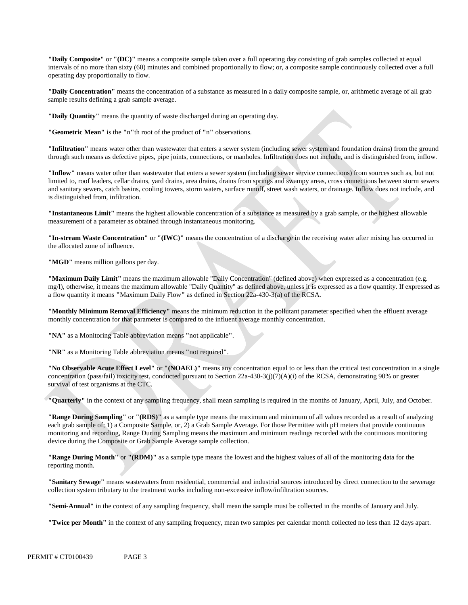**"Daily Composite"** or **"(DC)"** means a composite sample taken over a full operating day consisting of grab samples collected at equal intervals of no more than sixty (60) minutes and combined proportionally to flow; or, a composite sample continuously collected over a full operating day proportionally to flow.

**"Daily Concentration"** means the concentration of a substance as measured in a daily composite sample, or, arithmetic average of all grab sample results defining a grab sample average.

**"Daily Quantity"** means the quantity of waste discharged during an operating day.

**"Geometric Mean"** is the **"**n**"**th root of the product of **"**n**"** observations.

**"Infiltration"** means water other than wastewater that enters a sewer system (including sewer system and foundation drains) from the ground through such means as defective pipes, pipe joints, connections, or manholes. Infiltration does not include, and is distinguished from, inflow.

 is distinguished from, infiltration. **"Inflow"** means water other than wastewater that enters a sewer system (including sewer service connections) from sources such as, but not limited to, roof leaders, cellar drains, yard drains, area drains, drains from springs and swampy areas, cross connections between storm sewers and sanitary sewers, catch basins, cooling towers, storm waters, surface runoff, street wash waters, or drainage. Inflow does not include, and

**"Instantaneous Limit"** means the highest allowable concentration of a substance as measured by a grab sample, or the highest allowable measurement of a parameter as obtained through instantaneous monitoring.

**"In-stream Waste Concentration"** or **"(IWC)"** means the concentration of a discharge in the receiving water after mixing has occurred in the allocated zone of influence.

**"MGD"** means million gallons per day.

**"Maximum Daily Limit"** means the maximum allowable "Daily Concentration" (defined above) when expressed as a concentration (e.g. mg/l), otherwise, it means the maximum allowable "Daily Quantity" as defined above, unless it is expressed as a flow quantity. If expressed as a flow quantity it means **"**Maximum Daily Flow**"** as defined in Section 22a-430-3(a) of the RCSA.

**"Monthly Minimum Removal Efficiency"** means the minimum reduction in the pollutant parameter specified when the effluent average monthly concentration for that parameter is compared to the influent average monthly concentration.

**"NA"** as a Monitoring Table abbreviation means **"**not applicable**"**.

**"NR"** as a Monitoring Table abbreviation means **"**not required**"**.

**"No Observable Acute Effect Level"** or **"(NOAEL)"** means any concentration equal to or less than the critical test concentration in a single concentration (pass/fail) toxicity test, conducted pursuant to Section 22a-430-3(j)(7)(A)(i) of the RCSA, demonstrating 90% or greater survival of test organisms at the CTC.

**"Quarterly"** in the context of any sampling frequency, shall mean sampling is required in the months of January, April, July, and October.

**"Range During Sampling"** or **"(RDS)"** as a sample type means the maximum and minimum of all values recorded as a result of analyzing each grab sample of; 1) a Composite Sample, or, 2) a Grab Sample Average. For those Permittee with pH meters that provide continuous monitoring and recording, Range During Sampling means the maximum and minimum readings recorded with the continuous monitoring device during the Composite or Grab Sample Average sample collection.

**"Range During Month"** or **"(RDM)"** as a sample type means the lowest and the highest values of all of the monitoring data for the reporting month.

 collection system tributary to the treatment works including non-excessive inflow/infiltration sources.**"Sanitary Sewage"** means wastewaters from residential, commercial and industrial sources introduced by direct connection to the sewerage

**"Semi-Annual"** in the context of any sampling frequency, shall mean the sample must be collected in the months of January and July.

**"Twice per Month"** in the context of any sampling frequency, mean two samples per calendar month collected no less than 12 days apart.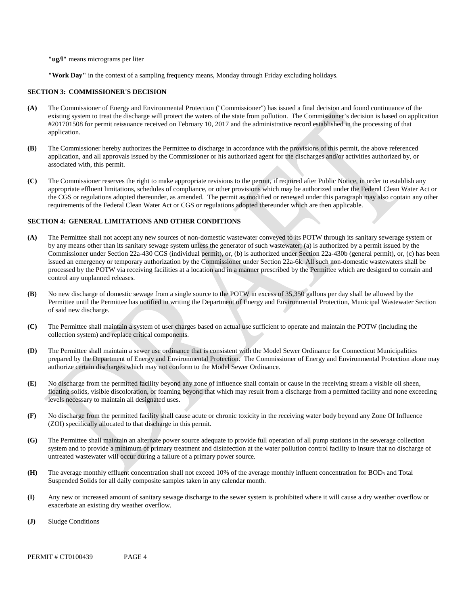**"ug/l"** means micrograms per liter

**"Work Day"** in the context of a sampling frequency means, Monday through Friday excluding holidays.

#### **SECTION 3: COMMISSIONER'S DECISION**

- existing system to treat the discharge will protect the waters of the state from pollution. The Commissioner's decision is based on application **(A)** The Commissioner of Energy and Environmental Protection ("Commissioner") has issued a final decision and found continuance of the application.  $(A)$ #201701508 for permit reissuance received on February 10, 2017 and the administrative record established in the processing of that
- **(B)**  associated with, this permit. The Commissioner hereby authorizes the Permittee to discharge in accordance with the provisions of this permit, the above referenced application, and all approvals issued by the Commissioner or his authorized agent for the discharges and/or activities authorized by, or
- **(C)** The Commissioner reserves the right to make appropriate revisions to the permit, if required after Public Notice, in order to establish any appropriate effluent limitations, schedules of compliance, or other provisions which may be authorized under the Federal Clean Water Act or the CGS or regulations adopted thereunder, as amended. The permit as modified or renewed under this paragraph may also contain any other requirements of the Federal Clean Water Act or CGS or regulations adopted thereunder which are then applicable.

#### **SECTION 4: GENERAL LIMITATIONS AND OTHER CONDITIONS**

- **(A)** The Permittee shall not accept any new sources of non-domestic wastewater conveyed to its POTW through its sanitary sewerage system or by any means other than its sanitary sewage system unless the generator of such wastewater; (a) is authorized by a permit issued by the Commissioner under Section 22a-430 CGS (individual permit), or, (b) is authorized under Section 22a-430b (general permit), or, (c) has been issued an emergency or temporary authorization by the Commissioner under Section 22a-6k. All such non-domestic wastewaters shall be processed by the POTW via receiving facilities at a location and in a manner prescribed by the Permittee which are designed to contain and control any unplanned releases.
- **(B)** No new discharge of domestic sewage from a single source to the POTW in excess of 35,350 gallons per day shall be allowed by the Permittee until the Permittee has notified in writing the Department of Energy and Environmental Protection, Municipal Wastewater Section of said new discharge.
- **(C)** The Permittee shall maintain a system of user charges based on actual use sufficient to operate and maintain the POTW (including the collection system) and replace critical components.
- **(D)** The Permittee shall maintain a sewer use ordinance that is consistent with the Model Sewer Ordinance for Connecticut Municipalities prepared by the Department of Energy and Environmental Protection. The Commissioner of Energy and Environmental Protection alone may authorize certain discharges which may not conform to the Model Sewer Ordinance.
- **(E)** No discharge from the permitted facility beyond any zone of influence shall contain or cause in the receiving stream a visible oil sheen, floating solids, visible discoloration, or foaming beyond that which may result from a discharge from a permitted facility and none exceeding levels necessary to maintain all designated uses.
- **(F)** No discharge from the permitted facility shall cause acute or chronic toxicity in the receiving water body beyond any Zone Of Influence (ZOI) specifically allocated to that discharge in this permit.
- **(G)** The Permittee shall maintain an alternate power source adequate to provide full operation of all pump stations in the sewerage collection system and to provide a minimum of primary treatment and disinfection at the water pollution control facility to insure that no discharge of untreated wastewater will occur during a failure of a primary power source.
- The average monthly effluent concentration shall not exceed 10% of the average monthly influent concentration for BOD<sub>5</sub> and Total **(H)** Suspended Solids for all daily composite samples taken in any calendar month.
- **(I)** Any new or increased amount of sanitary sewage discharge to the sewer system is prohibited where it will cause a dry weather overflow or exacerbate an existing dry weather overflow.
- **(J)** Sludge Conditions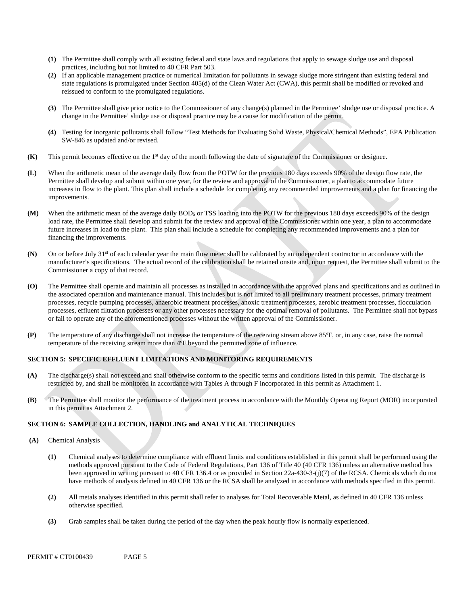- **(1)** The Permittee shall comply with all existing federal and state laws and regulations that apply to sewage sludge use and disposal practices, including but not limited to 40 CFR Part 503.
- **(2)** If an applicable management practice or numerical limitation for pollutants in sewage sludge more stringent than existing federal and state regulations is promulgated under Section 405(d) of the Clean Water Act (CWA), this permit shall be modified or revoked and reissued to conform to the promulgated regulations.
- **(3)** The Permittee shall give prior notice to the Commissioner of any change(s) planned in the Permittee' sludge use or disposal practice. A change in the Permittee' sludge use or disposal practice may be a cause for modification of the permit.
- **(4)** Testing for inorganic pollutants shall follow "Test Methods for Evaluating Solid Waste, Physical/Chemical Methods", EPA Publication SW-846 as updated and/or revised.
- **(K)** This permit becomes effective on the 1<sup>st</sup> day of the month following the date of signature of the Commissioner or designee.
- improvements. **(L)** When the arithmetic mean of the average daily flow from the POTW for the previous 180 days exceeds 90% of the design flow rate, the Permittee shall develop and submit within one year, for the review and approval of the Commissioner, a plan to accommodate future increases in flow to the plant. This plan shall include a schedule for completing any recommended improvements and a plan for financing the
- **(M)** When the arithmetic mean of the average daily BOD<sub>5</sub> or TSS loading into the POTW for the previous 180 days exceeds 90% of the design load rate, the Permittee shall develop and submit for the review and approval of the Commissioner within one year, a plan to accommodate future increases in load to the plant. This plan shall include a schedule for completing any recommended improvements and a plan for financing the improvements.
- **(N)** On or before July  $31<sup>st</sup>$  of each calendar year the main flow meter shall be calibrated by an independent contractor in accordance with the manufacturer's specifications. The actual record of the calibration shall be retained onsite and, upon request, the Permittee shall submit to the Commissioner a copy of that record.
- **(O)** The Permittee shall operate and maintain all processes as installed in accordance with the approved plans and specifications and as outlined in the associated operation and maintenance manual. This includes but is not limited to all preliminary treatment processes, primary treatment processes, recycle pumping processes, anaerobic treatment processes, anoxic treatment processes, aerobic treatment processes, flocculation processes, effluent filtration processes or any other processes necessary for the optimal removal of pollutants. The Permittee shall not bypass or fail to operate any of the aforementioned processes without the written approval of the Commissioner.
- **(P)** The temperature of any discharge shall not increase the temperature of the receiving stream above 85ºF, or, in any case, raise the normal temperature of the receiving stream more than 4ºF beyond the permitted zone of influence.

#### **SECTION 5: SPECIFIC EFFLUENT LIMITATIONS AND MONITORING REQUIREMENTS**

- restricted by, and shall be monitored in accordance with Tables A through F incorporated in this permit as Attachment 1. **(A)** The discharge(s) shall not exceed and shall otherwise conform to the specific terms and conditions listed in this permit. The discharge is
- in this permit as Attachment 2. **(B)** The Permittee shall monitor the performance of the treatment process in accordance with the Monthly Operating Report (MOR) incorporated

## **SECTION 6: SAMPLE COLLECTION, HANDLING and ANALYTICAL TECHNIQUES**

- **(A)** Chemical Analysis
	- **(1)** Chemical analyses to determine compliance with effluent limits and conditions established in this permit shall be performed using the methods approved pursuant to the Code of Federal Regulations, Part 136 of Title 40 (40 CFR 136) unless an alternative method has been approved in writing pursuant to 40 CFR 136.4 or as provided in Section 22a-430-3-(j)(7) of the RCSA. Chemicals which do not have methods of analysis defined in 40 CFR 136 or the RCSA shall be analyzed in accordance with methods specified in this permit.
	- **(2)** All metals analyses identified in this permit shall refer to analyses for Total Recoverable Metal, as defined in 40 CFR 136 unless otherwise specified.
	- **(3)** Grab samples shall be taken during the period of the day when the peak hourly flow is normally experienced.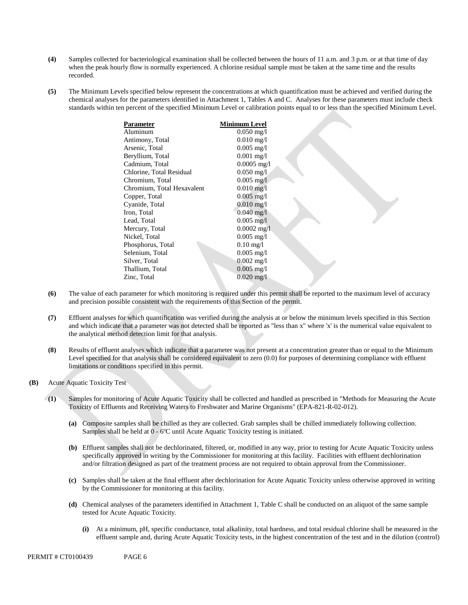- $(4)$ Samples collected for bacteriological examination shall be collected between the hours of 11 a.m. and 3 p.m. or at that time of day when the peak hourly flow is normally experienced. A chlorine residual sample must be taken at the same time and the results recorded.
- **(5)** The Minimum Levels specified below represent the concentrations at which quantification must be achieved and verified during the chemical analyses for the parameters identified in Attachment 1, Tables A and C. Analyses for these parameters must include check standards within ten percent of the specified Minimum Level or calibration points equal to or less than the specified Minimum Level.

| Parameter                  | <b>Minimum Level</b>    |
|----------------------------|-------------------------|
| Aluminum                   | $0.050 \text{ mg/l}$    |
| Antimony, Total            | $0.010$ mg/l            |
| Arsenic, Total             | $0.005$ mg/l            |
| Beryllium, Total           | $0.001$ mg/l            |
| Cadmium, Total             | $0.0005$ mg/l           |
| Chlorine, Total Residual   | $0.050$ mg/l            |
| Chromium, Total            | $0.005 \text{ mg/l}$    |
| Chromium, Total Hexavalent | $0.010$ mg/l            |
| Copper, Total              | $0.005$ mg/l            |
| Cyanide, Total             | $0.010$ mg/l            |
| Iron, Total                | $0.040$ mg/l            |
| Lead, Total                | $0.005$ mg/l            |
| Mercury, Total             | $0.0002$ mg/l           |
| Nickel, Total              | $0.005 \text{ mg/l}$    |
| Phosphorus, Total          | $0.10 \text{ mg}/1$     |
| Selenium, Total            | $0.005$ mg/l            |
| Silver, Total              | $0.002 \text{ mg/l}$    |
| Thallium, Total            | $0.005$ mg/l            |
| Zinc, Total                | $0.020 \,\mathrm{mg}/l$ |
|                            |                         |

- **(6)** The value of each parameter for which monitoring is required under this permit shall be reported to the maximum level of accuracy and precision possible consistent with the requirements of this Section of the permit.
- **(7)** Effluent analyses for which quantification was verified during the analysis at or below the minimum levels specified in this Section and which indicate that a parameter was not detected shall be reported as "less than x" where 'x' is the numerical value equivalent to the analytical method detection limit for that analysis.
- **(8)** Results of effluent analyses which indicate that a parameter was not present at a concentration greater than or equal to the Minimum Level specified for that analysis shall be considered equivalent to zero (0.0) for purposes of determining compliance with effluent limitations or conditions specified in this permit.
- **(B)** Acute Aquatic Toxicity Test
	- **(1)** Samples for monitoring of Acute Aquatic Toxicity shall be collected and handled as prescribed in "Methods for Measuring the Acute Toxicity of Effluents and Receiving Waters to Freshwater and Marine Organisms" (EPA-821-R-02-012).
		- **(a)** Composite samples shall be chilled as they are collected. Grab samples shall be chilled immediately following collection. Samples shall be held at 0 - 6ºC until Acute Aquatic Toxicity testing is initiated.
		- **(b)** Effluent samples shall not be dechlorinated, filtered, or, modified in any way, prior to testing for Acute Aquatic Toxicity unless specifically approved in writing by the Commissioner for monitoring at this facility. Facilities with effluent dechlorination and/or filtration designed as part of the treatment process are not required to obtain approval from the Commissioner.
		- **(c)** Samples shall be taken at the final effluent after dechlorination for Acute Aquatic Toxicity unless otherwise approved in writing by the Commissioner for monitoring at this facility.
		- **(d)** Chemical analyses of the parameters identified in Attachment 1, Table C shall be conducted on an aliquot of the same sample tested for Acute Aquatic Toxicity.
			- $(i)$ **(i)** At a minimum, pH, specific conductance, total alkalinity, total hardness, and total residual chlorine shall be measured in the effluent sample and, during Acute Aquatic Toxicity tests, in the highest concentration of the test and in the dilution (control)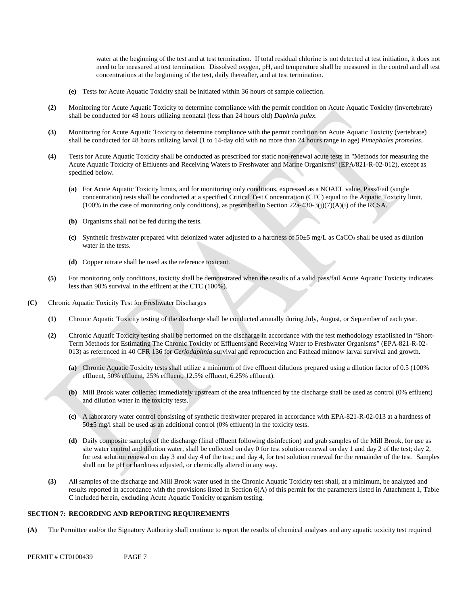water at the beginning of the test and at test termination. If total residual chlorine is not detected at test initiation, it does not need to be measured at test termination. Dissolved oxygen, pH, and temperature shall be measured in the control and all test concentrations at the beginning of the test, daily thereafter, and at test termination.

- **(e)** Tests for Acute Aquatic Toxicity shall be initiated within 36 hours of sample collection.
- **(2)** Monitoring for Acute Aquatic Toxicity to determine compliance with the permit condition on Acute Aquatic Toxicity (invertebrate) shall be conducted for 48 hours utilizing neonatal (less than 24 hours old) *Daphnia pulex*.
- **(3)** Monitoring for Acute Aquatic Toxicity to determine compliance with the permit condition on Acute Aquatic Toxicity (vertebrate) shall be conducted for 48 hours utilizing larval (1 to 14-day old with no more than 24 hours range in age) *Pimephales promelas*.
- Tests for Acute Aquatic Toxicity shall be conducted as prescribed for static non-renewal acute tests in "Methods for measuring the Acute Aquatic Toxicity of Effluents and Receiving Waters to Freshwater and Marine Organisms" (EPA/821-R-02-012), except as **(4)** specified below.
	- (a) For Acute Aquatic Toxicity limits, and for monitoring only conditions, expressed as a NOAEL value, Pass/Fail (single concentration) tests shall be conducted at a specified Critical Test Concentration (CTC) equal to the Aquatic Toxicity limit,  $(100\%$  in the case of monitoring only conditions), as prescribed in Section 22a-430-3(j)(7)(A)(i) of the RCSA.
	- **(b)** Organisms shall not be fed during the tests.
	- **(c)** Synthetic freshwater prepared with deionized water adjusted to a hardness of 50±5 mg/L as CaCO3 shall be used as dilution water in the tests.
	- **(d)** Copper nitrate shall be used as the reference toxicant.
- **(5)** For monitoring only conditions, toxicity shall be demonstrated when the results of a valid pass/fail Acute Aquatic Toxicity indicates less than 90% survival in the effluent at the CTC (100%).
- **(C)** Chronic Aquatic Toxicity Test for Freshwater Discharges
	- **(1)** Chronic Aquatic Toxicity testing of the discharge shall be conducted annually during July, August, or September of each year.
	- **(2)** Chronic Aquatic Toxicity testing shall be performed on the discharge in accordance with the test methodology established in "Short-Term Methods for Estimating The Chronic Toxicity of Effluents and Receiving Water to Freshwater Organisms" (EPA-821-R-02 013) as referenced in 40 CFR 136 for *Ceriodaphnia* survival and reproduction and Fathead minnow larval survival and growth.
		- **(a)** Chronic Aquatic Toxicity tests shall utilize a minimum of five effluent dilutions prepared using a dilution factor of 0.5 (100% effluent, 50% effluent, 25% effluent, 12.5% effluent, 6.25% effluent).
		- **(b)** Mill Brook water collected immediately upstream of the area influenced by the discharge shall be used as control (0% effluent) and dilution water in the toxicity tests.
		- **(c)** A laboratory water control consisting of synthetic freshwater prepared in accordance with EPA-821-R-02-013 at a hardness of 50±5 mg/l shall be used as an additional control (0% effluent) in the toxicity tests.
		- for test solution renewal on day 3 and day 4 of the test; and day 4, for test solution renewal for the remainder of the test. Samples shall not be pH or hardness adjusted, or chemically altered in any way. **(d)** Daily composite samples of the discharge (final effluent following disinfection) and grab samples of the Mill Brook, for use as site water control and dilution water, shall be collected on day 0 for test solution renewal on day 1 and day 2 of the test; day 2,
	- **(3)** All samples of the discharge and Mill Brook water used in the Chronic Aquatic Toxicity test shall, at a minimum, be analyzed and results reported in accordance with the provisions listed in Section 6(A) of this permit for the parameters listed in Attachment 1, Table C included herein, excluding Acute Aquatic Toxicity organism testing.

#### **SECTION 7: RECORDING AND REPORTING REQUIREMENTS**

**(A)** The Permittee and/or the Signatory Authority shall continue to report the results of chemical analyses and any aquatic toxicity test required

PERMIT # CT0100439 PAGE 7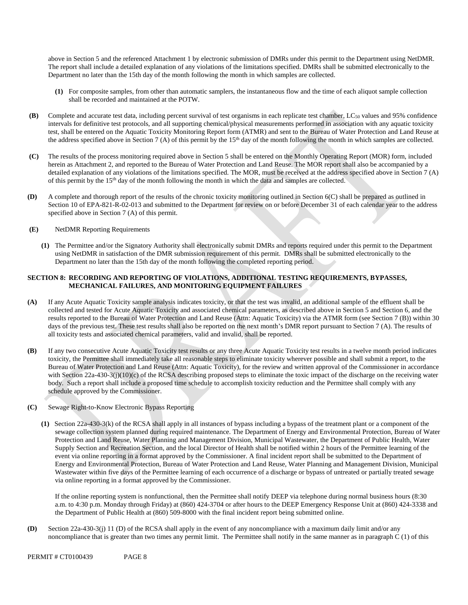above in Section 5 and the referenced Attachment 1 by electronic submission of DMRs under this permit to the Department using NetDMR. The report shall include a detailed explanation of any violations of the limitations specified. DMRs shall be submitted electronically to the Department no later than the 15th day of the month following the month in which samples are collected.

- **(1)** For composite samples, from other than automatic samplers, the instantaneous flow and the time of each aliquot sample collection shall be recorded and maintained at the POTW.
- **(B)** Complete and accurate test data, including percent survival of test organisms in each replicate test chamber, LC50 values and 95% confidence intervals for definitive test protocols, and all supporting chemical/physical measurements performed in association with any aquatic toxicity test, shall be entered on the Aquatic Toxicity Monitoring Report form (ATMR) and sent to the Bureau of Water Protection and Land Reuse at the address specified above in Section 7 (A) of this permit by the  $15<sup>th</sup>$  day of the month following the month in which samples are collected.
- **(C)** The results of the process monitoring required above in Section 5 shall be entered on the Monthly Operating Report (MOR) form, included herein as Attachment 2, and reported to the Bureau of Water Protection and Land Reuse. The MOR report shall also be accompanied by a detailed explanation of any violations of the limitations specified. The MOR, must be received at the address specified above in Section 7 (A) of this permit by the 15th day of the month following the month in which the data and samples are collected.
- **(D)** A complete and thorough report of the results of the chronic toxicity monitoring outlined in Section 6(C) shall be prepared as outlined in Section 10 of EPA-821-R-02-013 and submitted to the Department for review on or before December 31 of each calendar year to the address specified above in Section 7 (A) of this permit.
- **(E)** NetDMR Reporting Requirements
	- **(1)** The Permittee and/or the Signatory Authority shall electronically submit DMRs and reports required under this permit to the Department using NetDMR in satisfaction of the DMR submission requirement of this permit. DMRs shall be submitted electronically to the Department no later than the 15th day of the month following the completed reporting period.

## **SECTION 8: RECORDING AND REPORTING OF VIOLATIONS, ADDITIONAL TESTING REQUIREMENTS, BYPASSES, MECHANICAL FAILURES, AND MONITORING EQUIPMENT FAILURES**

- If any Acute Aquatic Toxicity sample analysis indicates toxicity, or that the test was invalid, an additional sample of the effluent shall be **(A)** collected and tested for Acute Aquatic Toxicity and associated chemical parameters, as described above in Section 5 and Section 6, and the results reported to the Bureau of Water Protection and Land Reuse (Attn: Aquatic Toxicity) via the ATMR form (see Section 7 (B)) within 30 days of the previous test. These test results shall also be reported on the next month's DMR report pursuant to Section 7 (A). The results of all toxicity tests and associated chemical parameters, valid and invalid, shall be reported.
- **(B)** If any two consecutive Acute Aquatic Toxicity test results or any three Acute Aquatic Toxicity test results in a twelve month period indicates toxicity, the Permittee shall immediately take all reasonable steps to eliminate toxicity wherever possible and shall submit a report, to the Bureau of Water Protection and Land Reuse (Attn: Aquatic Toxicity), for the review and written approval of the Commissioner in accordance with Section 22a-430-3(j)(10)(c) of the RCSA describing proposed steps to eliminate the toxic impact of the discharge on the receiving water body. Such a report shall include a proposed time schedule to accomplish toxicity reduction and the Permittee shall comply with any schedule approved by the Commissioner.
- **(C)** Sewage Right-to-Know Electronic Bypass Reporting
	- **(1)** Section 22a-430-3(k) of the RCSA shall apply in all instances of bypass including a bypass of the treatment plant or a component of the sewage collection system planned during required maintenance. The Department of Energy and Environmental Protection, Bureau of Water Protection and Land Reuse, Water Planning and Management Division, Municipal Wastewater, the Department of Public Health, Water Supply Section and Recreation Section, and the local Director of Health shall be notified within 2 hours of the Permittee learning of the event via online reporting in a format approved by the Commissioner. A final incident report shall be submitted to the Department of Energy and Environmental Protection, Bureau of Water Protection and Land Reuse, Water Planning and Management Division, Municipal Wastewater within five days of the Permittee learning of each occurrence of a discharge or bypass of untreated or partially treated sewage via online reporting in a format approved by the Commissioner.

a. m. to 4:30 p.m. Monday through Friday) at (860) 424-3704 or after hours to the DEEP Emergency Response Unit at (860) 424-3338 and If the online reporting system is nonfunctional, then the Permittee shall notify DEEP via telephone during normal business hours (8:30 the Department of Public Health at (860) 509-8000 with the final incident report being submitted online.

 **(D)** Section 22a-430-3(j) 11 (D) of the RCSA shall apply in the event of any noncompliance with a maximum daily limit and/or any noncompliance that is greater than two times any permit limit. The Permittee shall notify in the same manner as in paragraph C (1) of this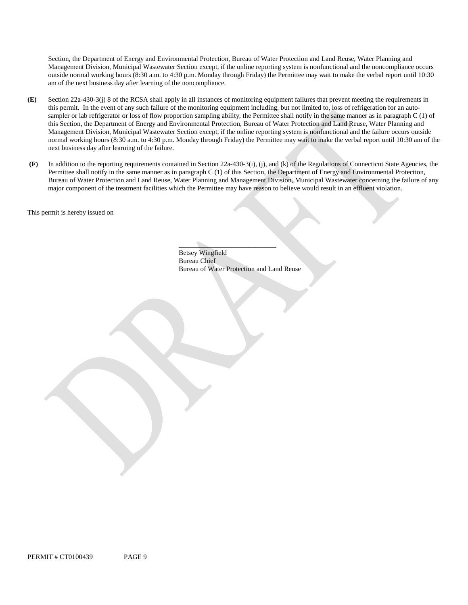Section, the Department of Energy and Environmental Protection, Bureau of Water Protection and Land Reuse, Water Planning and Management Division, Municipal Wastewater Section except, if the online reporting system is nonfunctional and the noncompliance occurs outside normal working hours (8:30 a.m. to 4:30 p.m. Monday through Friday) the Permittee may wait to make the verbal report until 10:30 am of the next business day after learning of the noncompliance.

- next business day after learning of the failure. **(E)** Section 22a-430-3(j) 8 of the RCSA shall apply in all instances of monitoring equipment failures that prevent meeting the requirements in this permit. In the event of any such failure of the monitoring equipment including, but not limited to, loss of refrigeration for an autosampler or lab refrigerator or loss of flow proportion sampling ability, the Permittee shall notify in the same manner as in paragraph C (1) of this Section, the Department of Energy and Environmental Protection, Bureau of Water Protection and Land Reuse, Water Planning and Management Division, Municipal Wastewater Section except, if the online reporting system is nonfunctional and the failure occurs outside normal working hours (8:30 a.m. to 4:30 p.m. Monday through Friday) the Permittee may wait to make the verbal report until 10:30 am of the
- major component of the treatment facilities which the Permittee may have reason to believe would result in an effluent violation.**(F)** In addition to the reporting requirements contained in Section 22a-430-3(i), (j), and (k) of the Regulations of Connecticut State Agencies, the Permittee shall notify in the same manner as in paragraph C (1) of this Section, the Department of Energy and Environmental Protection, Bureau of Water Protection and Land Reuse, Water Planning and Management Division, Municipal Wastewater concerning the failure of any

This permit is hereby issued on

\_\_\_\_\_\_\_\_\_\_\_\_\_\_\_\_\_\_\_\_\_\_\_\_\_\_\_\_ Betsey Wingfield Bureau Chief Bureau of Water Protection and Land Reuse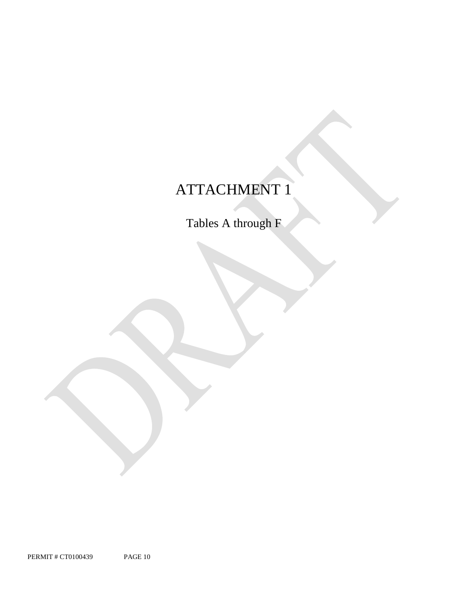# ATTACHMENT 1

Tables A through F

PERMIT # CT0100439 PAGE 10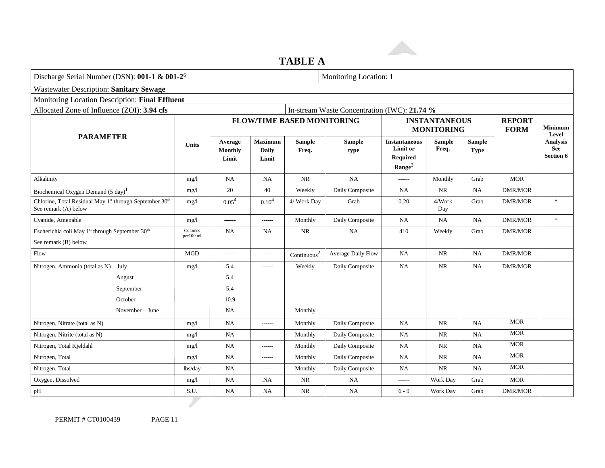# **TABLE A**

| Discharge Serial Number (DSN): 001-1 & 001-2 <sup>6</sup>                       |                       | Monitoring Location: 1             |                                         |                                   |                                              |                                                                           |                                           |                              |                              |                                              |
|---------------------------------------------------------------------------------|-----------------------|------------------------------------|-----------------------------------------|-----------------------------------|----------------------------------------------|---------------------------------------------------------------------------|-------------------------------------------|------------------------------|------------------------------|----------------------------------------------|
| <b>Wastewater Description: Sanitary Sewage</b>                                  |                       |                                    |                                         |                                   |                                              |                                                                           |                                           |                              |                              |                                              |
| Monitoring Location Description: Final Effluent                                 |                       |                                    |                                         |                                   |                                              |                                                                           |                                           |                              |                              |                                              |
| Allocated Zone of Influence (ZOI): 3.94 cfs                                     |                       |                                    |                                         |                                   | In-stream Waste Concentration (IWC): 21.74 % |                                                                           |                                           |                              |                              |                                              |
|                                                                                 |                       |                                    |                                         | <b>FLOW/TIME BASED MONITORING</b> |                                              |                                                                           | <b>INSTANTANEOUS</b><br><b>MONITORING</b> |                              | <b>REPORT</b><br><b>FORM</b> | Minimum                                      |
| <b>PARAMETER</b><br><b>Units</b>                                                |                       | Average<br><b>Monthly</b><br>Limit | <b>Maximum</b><br><b>Daily</b><br>Limit | <b>Sample</b><br>Freq.            | <b>Sample</b><br>type                        | <b>Instantaneous</b><br>Limit or<br><b>Required</b><br>$\textbf{Range}^3$ | <b>Sample</b><br>Freq.                    | <b>Sample</b><br><b>Type</b> |                              | Level<br><b>Analysis</b><br>See<br>Section 6 |
| Alkalinity                                                                      | mg/1                  | <b>NA</b>                          | NA                                      | $\rm NR$                          | <b>NA</b>                                    | ------                                                                    | Monthly                                   | Grab                         | <b>MOR</b>                   |                                              |
| Biochemical Oxygen Demand (5 day) <sup>1</sup>                                  | mg/1                  | 20                                 | 40                                      | Weekly                            | Daily Composite                              | NA                                                                        | <b>NR</b>                                 | <b>NA</b>                    | <b>DMR/MOR</b>               |                                              |
| Chlorine, Total Residual May 1st through September 30th<br>See remark (A) below | mg/l                  | 0.05 <sup>4</sup>                  | 0.10 <sup>4</sup>                       | 4/ Work Day                       | Grab                                         | 0.20                                                                      | 4/Work<br>Day                             | Grab                         | <b>DMR/MOR</b>               | $\ast$                                       |
| Cyanide, Amenable                                                               | mg/1                  | ------                             | $- - - - - -$                           | Monthly                           | Daily Composite                              | <b>NA</b>                                                                 | NA                                        | <b>NA</b>                    | <b>DMR/MOR</b>               | $\ast$                                       |
| Escherichia coli May 1 <sup>st</sup> through September 30 <sup>th</sup>         | Colonies<br>per100 ml | <b>NA</b>                          | NA.                                     | <b>NR</b>                         | <b>NA</b>                                    | 410                                                                       | Weekly                                    | Grab                         | <b>DMR/MOR</b>               |                                              |
| See remark (B) below                                                            |                       |                                    |                                         |                                   |                                              |                                                                           |                                           |                              |                              |                                              |
| Flow                                                                            | <b>MGD</b>            | -------                            | $- - - - - -$                           | $\mbox{Continuous}^2$             | Average Daily Flow                           | <b>NA</b>                                                                 | <b>NR</b>                                 | NA                           | DMR/MOR                      |                                              |
| Nitrogen, Ammonia (total as N) July                                             | mg/1                  | 5.4                                | $- - - - - -$                           | Weekly                            | Daily Composite                              | <b>NA</b>                                                                 | <b>NR</b>                                 | NA                           | <b>DMR/MOR</b>               |                                              |
| August                                                                          |                       | 5.4                                |                                         |                                   |                                              |                                                                           |                                           |                              |                              |                                              |
| September                                                                       |                       | 5.4                                |                                         |                                   |                                              |                                                                           |                                           |                              |                              |                                              |
| October                                                                         |                       | 10.9                               |                                         |                                   |                                              |                                                                           |                                           |                              |                              |                                              |
| November – June                                                                 |                       | <b>NA</b>                          |                                         | Monthly                           |                                              |                                                                           |                                           |                              |                              |                                              |
| Nitrogen, Nitrate (total as N)                                                  | mg/l                  | <b>NA</b>                          | ------                                  | Monthly                           | Daily Composite                              | <b>NA</b>                                                                 | NR                                        | <b>NA</b>                    | <b>MOR</b>                   |                                              |
| Nitrogen, Nitrite (total as N)                                                  | mg/l                  | <b>NA</b>                          | $-----1$                                | Monthly                           | Daily Composite                              | <b>NA</b>                                                                 | <b>NR</b>                                 | NA                           | <b>MOR</b>                   |                                              |
| Nitrogen, Total Kjeldahl                                                        | mg/1                  | <b>NA</b>                          | ------                                  | Monthly                           | Daily Composite                              | <b>NA</b>                                                                 | <b>NR</b>                                 | <b>NA</b>                    | <b>MOR</b>                   |                                              |
| Nitrogen, Total                                                                 | mg/1                  | <b>NA</b>                          | $- - - - - -$                           | Monthly                           | Daily Composite                              | <b>NA</b>                                                                 | NR                                        | <b>NA</b>                    | <b>MOR</b>                   |                                              |
| Nitrogen, Total                                                                 | lbs/day               | NA                                 | $- - - - - -$                           | Monthly                           | Daily Composite                              | <b>NA</b>                                                                 | NR                                        | <b>NA</b>                    | <b>MOR</b>                   |                                              |
| Oxygen, Dissolved                                                               | mg/l                  | <b>NA</b>                          | NA                                      | <b>NR</b>                         | <b>NA</b>                                    | ------                                                                    | Work Day                                  | Grab                         | <b>MOR</b>                   |                                              |
| pH                                                                              | S.U.                  | NA                                 | NA.                                     | <b>NR</b>                         | <b>NA</b>                                    | $6 - 9$                                                                   | Work Day                                  | Grab                         | <b>DMR/MOR</b>               |                                              |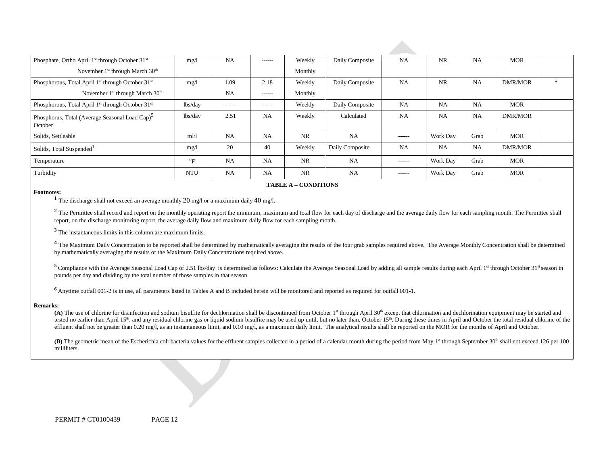| Phosphate, Ortho April 1 <sup>st</sup> through October 31 <sup>st</sup>   | mg/1                      | <b>NA</b> | $- - - - - -$ | Weekly    | Daily Composite | <b>NA</b>     | <b>NR</b>       | <b>NA</b> | <b>MOR</b> |     |
|---------------------------------------------------------------------------|---------------------------|-----------|---------------|-----------|-----------------|---------------|-----------------|-----------|------------|-----|
| November $1st$ through March $30th$                                       |                           |           |               | Monthly   |                 |               |                 |           |            |     |
| Phosphorous, Total April 1 <sup>st</sup> through October 31 <sup>st</sup> | mg/l                      | 1.09      | 2.18          | Weekly    | Daily Composite | <b>NA</b>     | <b>NR</b>       | <b>NA</b> | DMR/MOR    | $*$ |
| November 1 <sup>st</sup> through March 30 <sup>th</sup>                   |                           | <b>NA</b> | $- - - - - -$ | Monthly   |                 |               |                 |           |            |     |
| Phosphorous, Total April 1 <sup>st</sup> through October 31 <sup>st</sup> | lbs/day                   | ------    | $- - - - - -$ | Weekly    | Daily Composite | <b>NA</b>     | <b>NA</b>       | <b>NA</b> | <b>MOR</b> |     |
| Phosphorus, Total (Average Seasonal Load Cap) <sup>5</sup><br>October     | lbs/day                   | 2.51      | <b>NA</b>     | Weekly    | Calculated      | <b>NA</b>     | <b>NA</b>       | <b>NA</b> | DMR/MOR    |     |
| Solids, Settleable                                                        | $m$ $l$                   | <b>NA</b> | <b>NA</b>     | <b>NR</b> | <b>NA</b>       | $- - - - - -$ | Work Day        | Grab      | <b>MOR</b> |     |
| Solids, Total Suspended <sup>1</sup>                                      | mg/1                      | 20        | 40            | Weekly    | Daily Composite | <b>NA</b>     | <b>NA</b>       | <b>NA</b> | DMR/MOR    |     |
| Temperature                                                               | $\mathrm{P}_{\mathrm{F}}$ | <b>NA</b> | <b>NA</b>     | <b>NR</b> | <b>NA</b>       | ------        | Work Day        | Grab      | <b>MOR</b> |     |
| Turbidity                                                                 | <b>NTU</b>                | NA        | <b>NA</b>     | <b>NR</b> | <b>NA</b>       | ------        | <b>Work Day</b> | Grab      | <b>MOR</b> |     |

#### **FABLE A – CONDITIONS**

**Footnotes: 1** The discharge shall not exceed an average monthly 20 mg/l or a maximum daily 40 mg/l.

<sup>2</sup> The Permittee shall record and report on the monthly operating report the minimum, maximum and total flow for each day of discharge and the average daily flow for each sampling month. The Permittee shall report, on the discharge monitoring report, the average daily flow and maximum daily flow for each sampling month.

**<sup>3</sup>**The instantaneous limits in this column are maximum limits.

<sup>4</sup> The Maximum Daily Concentration to be reported shall be determined by mathematically averaging the results of the four grab samples required above. The Average Monthly Concentration shall be determined by mathematically averaging the results of the Maximum Daily Concentrations required above.

<sup>5</sup> Compliance with the Average Seasonal Load Cap of 2.51 lbs/day is determined as follows: Calculate the Average Seasonal Load by adding all sample results during each April 1<sup>st</sup> through October 31st season in pounds per day and dividing by the total number of those samples in that season.

**<sup>6</sup>**Anytime outfall 001-2 is in use, all parameters listed in Tables A and B included herein will be monitored and reported as required for outfall 001-1.

#### **Remarks:**

effluent shall not be greater than 0.20 mg/l, as an instantaneous limit, and 0.10 mg/l, as a maximum daily limit. The analytical results shall be reported on the MOR for the months of April and October. **(A)** The use of chlorine for disinfection and sodium bisulfite for dechlorination shall be discontinued from October 1st through April 30th except that chlorination and dechlorination equipment may be started and tested no earlier than April 15<sup>th</sup>, and any residual chlorine gas or liquid sodium bisulfite may be used up until, but no later than, October 15<sup>th</sup>. During these times in April and October the total residual chlorine of

**(B)** The geometric mean of the Escherichia coli bacteria values for the effluent samples collected in a period of a calendar month during the period from May 1<sup>st</sup> through September 30<sup>th</sup> shall not exceed 126 per 100 milliliters.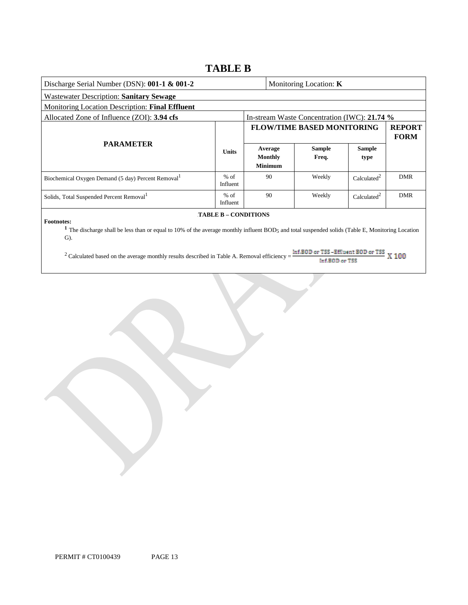# **TABLE B**

| Discharge Serial Number (DSN): 001-1 & 001-2                                                                                                                                                       |                    |                                   |                                      | Monitoring Location: $K$                     |                         |                              |
|----------------------------------------------------------------------------------------------------------------------------------------------------------------------------------------------------|--------------------|-----------------------------------|--------------------------------------|----------------------------------------------|-------------------------|------------------------------|
| <b>Wastewater Description: Sanitary Sewage</b>                                                                                                                                                     |                    |                                   |                                      |                                              |                         |                              |
| Monitoring Location Description: Final Effluent                                                                                                                                                    |                    |                                   |                                      |                                              |                         |                              |
| Allocated Zone of Influence (ZOI): 3.94 cfs                                                                                                                                                        |                    |                                   |                                      | In-stream Waste Concentration (IWC): 21.74 % |                         |                              |
|                                                                                                                                                                                                    |                    | <b>FLOW/TIME BASED MONITORING</b> |                                      |                                              |                         | <b>REPORT</b><br><b>FORM</b> |
| <b>PARAMETER</b>                                                                                                                                                                                   | <b>Units</b>       |                                   | Average<br>Monthly<br><b>Minimum</b> | <b>Sample</b><br>Freq.                       | Sample<br>type          |                              |
| Biochemical Oxygen Demand (5 day) Percent Removal <sup>1</sup>                                                                                                                                     | $%$ of<br>Influent |                                   | 90                                   | Weekly                                       | Calculated <sup>2</sup> | <b>DMR</b>                   |
| Solids, Total Suspended Percent Removal <sup>1</sup>                                                                                                                                               | $%$ of<br>Influent |                                   | 90                                   | Weekly                                       | Calculated <sup>2</sup> | <b>DMR</b>                   |
| <b>TABLE B - CONDITIONS</b><br><b>Footnotes:</b><br>The discharge shall be less than or equal to 10% of the average monthly influent BOD5 and total suspended solids (Table E, Monitoring Location |                    |                                   |                                      |                                              |                         |                              |

<sup>2</sup> Calculated based on the average monthly results described in Table A. Removal efficiency =  $\frac{\ln f.B@D \text{ or } TSS - Effl \text{uent } B@D \text{ or } TSS}{\ln f.B@D \text{ or } TSS}$  X 100 Inf.BOD or TSS

G).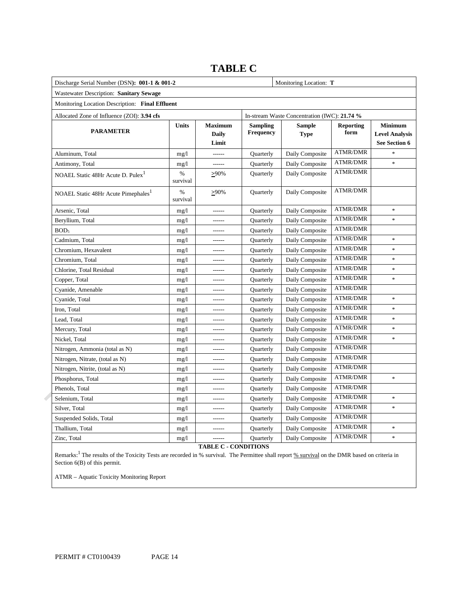|                                                 | Discharge Serial Number (DSN): 001-1 & 001-2 |                                  |                              |                                              |                          |                                                          |
|-------------------------------------------------|----------------------------------------------|----------------------------------|------------------------------|----------------------------------------------|--------------------------|----------------------------------------------------------|
| Wastewater Description: Sanitary Sewage         |                                              |                                  |                              |                                              |                          |                                                          |
| Monitoring Location Description: Final Effluent |                                              |                                  |                              |                                              |                          |                                                          |
| Allocated Zone of Influence (ZOI): 3.94 cfs     |                                              |                                  |                              | In-stream Waste Concentration (IWC): 21.74 % |                          |                                                          |
| <b>PARAMETER</b>                                | <b>Units</b>                                 | <b>Maximum</b><br>Daily<br>Limit | <b>Sampling</b><br>Frequency | <b>Sample</b><br><b>Type</b>                 | <b>Reporting</b><br>form | <b>Minimum</b><br><b>Level Analysis</b><br>See Section 6 |
| Aluminum, Total                                 | mg/1                                         | $1 - 1 - 1 - 1$                  | Quarterly                    | Daily Composite                              | <b>ATMR/DMR</b>          | $\ast$                                                   |
| Antimony, Total                                 | mg/1                                         | ------                           | Quarterly                    | Daily Composite                              | <b>ATMR/DMR</b>          | $\ast$                                                   |
| NOAEL Static 48Hr Acute D. Pulex <sup>1</sup>   | %<br>survival                                | $>90\%$                          | Quarterly                    | Daily Composite                              | <b>ATMR/DMR</b>          |                                                          |
| NOAEL Static 48Hr Acute Pimephales <sup>1</sup> | %<br>survival                                | $\geq 90\%$                      | Quarterly                    | Daily Composite                              | <b>ATMR/DMR</b>          |                                                          |
| Arsenic, Total                                  | mg/1                                         | $- - - - - -$                    | Quarterly                    | Daily Composite                              | <b>ATMR/DMR</b>          | $\ast$                                                   |
| Beryllium, Total                                | mg/1                                         | $- - - - - -$                    | Quarterly                    | Daily Composite                              | <b>ATMR/DMR</b>          | $\ast$                                                   |
| BOD <sub>5</sub>                                | mg/1                                         | ------                           | Quarterly                    | Daily Composite                              | <b>ATMR/DMR</b>          |                                                          |
| Cadmium, Total                                  | mg/1                                         | $- - - - - -$                    | Quarterly                    | Daily Composite                              | <b>ATMR/DMR</b>          | $\ast$                                                   |
| Chromium, Hexavalent                            | mg/1                                         |                                  | Quarterly                    | Daily Composite                              | <b>ATMR/DMR</b>          | $\ast$                                                   |
| Chromium, Total                                 | mg/1                                         | $- - - - - -$                    | Quarterly                    | Daily Composite                              | <b>ATMR/DMR</b>          | ×.                                                       |
| Chlorine, Total Residual                        | mg/1                                         |                                  | Quarterly                    | Daily Composite                              | <b>ATMR/DMR</b>          | $\ast$                                                   |
| Copper, Total                                   | mg/1                                         | $- - - - - -$                    | Quarterly                    | Daily Composite                              | <b>ATMR/DMR</b>          | $\ast$                                                   |
| Cyanide, Amenable                               | mg/1                                         | $- - - - - -$                    | Quarterly                    | Daily Composite                              | <b>ATMR/DMR</b>          |                                                          |
| Cyanide, Total                                  | mg/1                                         | ------                           | Quarterly                    | Daily Composite                              | <b>ATMR/DMR</b>          | $\ast$                                                   |
| Iron, Total                                     | mg/1                                         | $- - - - - -$                    | Quarterly                    | Daily Composite                              | <b>ATMR/DMR</b>          | $\ast$                                                   |
| Lead, Total                                     | mg/1                                         |                                  | Quarterly                    | Daily Composite                              | <b>ATMR/DMR</b>          | $\ast$                                                   |
| Mercury, Total                                  | mg/1                                         | $- - - - - -$                    | Quarterly                    | Daily Composite                              | <b>ATMR/DMR</b>          | $\ast$                                                   |
| Nickel, Total                                   | mg/1                                         |                                  | Quarterly                    | Daily Composite                              | <b>ATMR/DMR</b>          | $\ast$                                                   |
| Nitrogen, Ammonia (total as N)                  | mg/1                                         | $- - - - - -$                    | Quarterly                    | Daily Composite                              | <b>ATMR/DMR</b>          |                                                          |
| Nitrogen, Nitrate, (total as N)                 | mg/1                                         |                                  | Quarterly                    | Daily Composite                              | <b>ATMR/DMR</b>          |                                                          |
| Nitrogen, Nitrite, (total as N)                 | mg/1                                         | $- - - - - -$                    | Quarterly                    | Daily Composite                              | <b>ATMR/DMR</b>          |                                                          |
| Phosphorus, Total                               | mg/1                                         | $- - - - - -$                    | Quarterly                    | Daily Composite                              | <b>ATMR/DMR</b>          | $\ast$                                                   |
| Phenols, Total                                  | mg/1                                         | ------                           | Quarterly                    | Daily Composite                              | <b>ATMR/DMR</b>          |                                                          |
| Selenium, Total                                 | mg/1                                         | $- - - - - -$                    | Quarterly                    | Daily Composite                              | <b>ATMR/DMR</b>          | $\ast$                                                   |
| Silver, Total                                   | mg/1                                         |                                  | Quarterly                    | Daily Composite                              | <b>ATMR/DMR</b>          | $\ast$                                                   |
| Suspended Solids, Total                         | mg/1                                         | $- - - - - -$                    | Quarterly                    | Daily Composite                              | <b>ATMR/DMR</b>          |                                                          |
| Thallium, Total                                 | mg/1                                         |                                  | Quarterly                    | Daily Composite                              | <b>ATMR/DMR</b>          | $\ast$                                                   |
| Zinc, Total                                     | mg/1                                         | -------                          | Quarterly                    | Daily Composite                              | <b>ATMR/DMR</b>          | $\ast$                                                   |

# **TABLE C**

**TABLE C - CONDITIONS** 

Remarks:<sup>1</sup> The results of the Toxicity Tests are recorded in % survival. The Permittee shall report % survival on the DMR based on criteria in Section 6(B) of this permit.

ATMR – Aquatic Toxicity Monitoring Report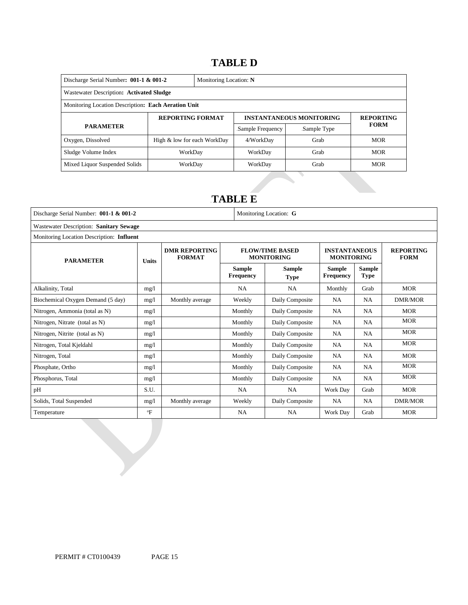# 14B**TABLE D**

| Discharge Serial Number: $001-1$ & $001-2$          |                             | Monitoring Location: N |                  |                                 |                  |  |  |
|-----------------------------------------------------|-----------------------------|------------------------|------------------|---------------------------------|------------------|--|--|
| Wastewater Description: Activated Sludge            |                             |                        |                  |                                 |                  |  |  |
| Monitoring Location Description: Each Aeration Unit |                             |                        |                  |                                 |                  |  |  |
| <b>REPORTING FORMAT</b>                             |                             |                        |                  | <b>INSTANTANEOUS MONITORING</b> | <b>REPORTING</b> |  |  |
| <b>PARAMETER</b>                                    |                             |                        | Sample Frequency | Sample Type                     | <b>FORM</b>      |  |  |
| Oxygen, Dissolved                                   | High & low for each WorkDay |                        | 4/WorkDay        | Grab                            | <b>MOR</b>       |  |  |
| Sludge Volume Index                                 | WorkDay                     |                        | WorkDay          | Grab                            | <b>MOR</b>       |  |  |
| Mixed Liquor Suspended Solids                       | WorkDay                     |                        | WorkDay          | Grab                            | <b>MOR</b>       |  |  |

# 15B**TABLE E**

| Discharge Serial Number: 001-1 & 001-2<br>Monitoring Location: G |              |                                       |                                   |                                             |                                           |                              |                                 |
|------------------------------------------------------------------|--------------|---------------------------------------|-----------------------------------|---------------------------------------------|-------------------------------------------|------------------------------|---------------------------------|
| Wastewater Description: Sanitary Sewage                          |              |                                       |                                   |                                             |                                           |                              |                                 |
| Monitoring Location Description: Influent                        |              |                                       |                                   |                                             |                                           |                              |                                 |
| <b>PARAMETER</b>                                                 | <b>Units</b> | <b>DMR REPORTING</b><br><b>FORMAT</b> |                                   | <b>FLOW/TIME BASED</b><br><b>MONITORING</b> | <b>INSTANTANEOUS</b><br><b>MONITORING</b> |                              | <b>REPORTING</b><br><b>FORM</b> |
|                                                                  |              |                                       | <b>Sample</b><br><b>Frequency</b> | Sample<br><b>Type</b>                       | <b>Sample</b><br><b>Frequency</b>         | <b>Sample</b><br><b>Type</b> |                                 |
| Alkalinity, Total                                                | mg/1         |                                       | <b>NA</b>                         | <b>NA</b>                                   | Monthly                                   | Grab                         | <b>MOR</b>                      |
| Biochemical Oxygen Demand (5 day)                                | mg/1         | Monthly average                       | Weekly                            | Daily Composite                             | <b>NA</b>                                 | <b>NA</b>                    | <b>DMR/MOR</b>                  |
| Nitrogen, Ammonia (total as N)                                   | mg/1         |                                       | Monthly                           | Daily Composite                             | NA                                        | <b>NA</b>                    | <b>MOR</b>                      |
| Nitrogen, Nitrate (total as N)                                   | mg/1         |                                       | Monthly                           | Daily Composite                             | NA                                        | <b>NA</b>                    | <b>MOR</b>                      |
| Nitrogen, Nitrite (total as N)                                   | mg/1         |                                       | Monthly                           | Daily Composite                             | NA                                        | <b>NA</b>                    | <b>MOR</b>                      |
| Nitrogen, Total Kjeldahl                                         | mg/1         |                                       | Monthly                           | Daily Composite                             | NA                                        | <b>NA</b>                    | <b>MOR</b>                      |
| Nitrogen, Total                                                  | mg/l         |                                       | Monthly                           | Daily Composite                             | NA                                        | <b>NA</b>                    | <b>MOR</b>                      |
| Phosphate, Ortho                                                 | mg/l         |                                       | Monthly                           | Daily Composite                             | NA                                        | <b>NA</b>                    | <b>MOR</b>                      |
| Phosphorus, Total                                                | mg/1         |                                       | Monthly                           | Daily Composite                             | <b>NA</b>                                 | <b>NA</b>                    | <b>MOR</b>                      |
| pH                                                               | S.U.         |                                       | <b>NA</b>                         | <b>NA</b>                                   | Work Day                                  | Grab                         | <b>MOR</b>                      |
| Solids, Total Suspended                                          | mg/1         | Monthly average                       | Weekly                            | Daily Composite                             | <b>NA</b>                                 | <b>NA</b>                    | <b>DMR/MOR</b>                  |
| Temperature                                                      | $\mathrm{P}$ |                                       | <b>NA</b>                         | <b>NA</b>                                   | Work Day                                  | Grab                         | <b>MOR</b>                      |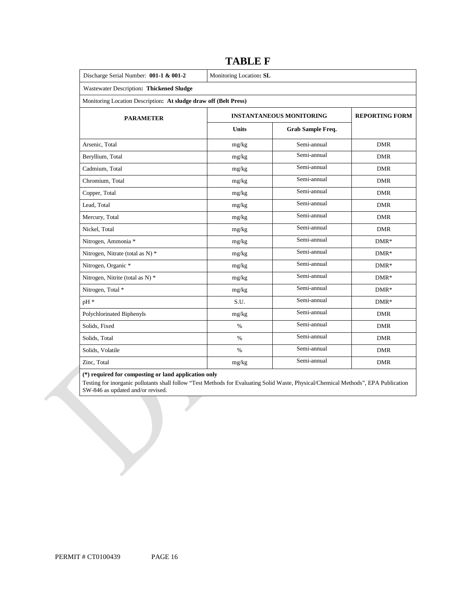| Discharge Serial Number: 001-1 & 001-2                           | Monitoring Location: SL         |                       |            |  |  |  |
|------------------------------------------------------------------|---------------------------------|-----------------------|------------|--|--|--|
| Wastewater Description: Thickened Sludge                         |                                 |                       |            |  |  |  |
| Monitoring Location Description: At sludge draw off (Belt Press) |                                 |                       |            |  |  |  |
| <b>PARAMETER</b>                                                 | <b>INSTANTANEOUS MONITORING</b> | <b>REPORTING FORM</b> |            |  |  |  |
|                                                                  | <b>Units</b>                    | Grab Sample Freq.     |            |  |  |  |
| Arsenic, Total                                                   | mg/kg                           | Semi-annual           | <b>DMR</b> |  |  |  |
| Beryllium, Total                                                 | mg/kg                           | Semi-annual           | <b>DMR</b> |  |  |  |
| Cadmium, Total                                                   | mg/kg                           | Semi-annual           | <b>DMR</b> |  |  |  |
| Chromium, Total                                                  | mg/kg                           | Semi-annual           | <b>DMR</b> |  |  |  |
| Copper, Total                                                    | mg/kg                           | Semi-annual           | <b>DMR</b> |  |  |  |
| Lead, Total                                                      | mg/kg                           | Semi-annual           | <b>DMR</b> |  |  |  |
| Mercury, Total                                                   | mg/kg                           | Semi-annual           | DMR        |  |  |  |
| Nickel, Total                                                    | mg/kg                           | Semi-annual           | <b>DMR</b> |  |  |  |
| Nitrogen, Ammonia *                                              | mg/kg                           | Semi-annual           | $DMR*$     |  |  |  |
| Nitrogen, Nitrate (total as N) *                                 | mg/kg                           | Semi-annual           | $DMR*$     |  |  |  |
| Nitrogen, Organic *                                              | mg/kg                           | Semi-annual           | $DMR*$     |  |  |  |
| Nitrogen, Nitrite (total as N) *                                 | mg/kg                           | Semi-annual           | $DMR*$     |  |  |  |
| Nitrogen, Total *                                                | mg/kg                           | Semi-annual           | $DMR*$     |  |  |  |
| pH *                                                             | S.U.                            | Semi-annual           | $DMR*$     |  |  |  |
| Polychlorinated Biphenyls                                        | mg/kg                           | Semi-annual           | <b>DMR</b> |  |  |  |
| Solids, Fixed                                                    | $\%$                            | Semi-annual           | <b>DMR</b> |  |  |  |
| Solids, Total                                                    | $\%$                            | Semi-annual           | <b>DMR</b> |  |  |  |
| Solids, Volatile                                                 | $\%$                            | Semi-annual           | <b>DMR</b> |  |  |  |
| Zinc, Total                                                      | mg/kg                           | Semi-annual           | DMR        |  |  |  |

# **TABLE F**

**(\*) required for composting or land application only** 

 Testing for inorganic pollutants shall follow "Test Methods for Evaluating Solid Waste, Physical/Chemical Methods", EPA Publication SW-846 as updated and/or revised.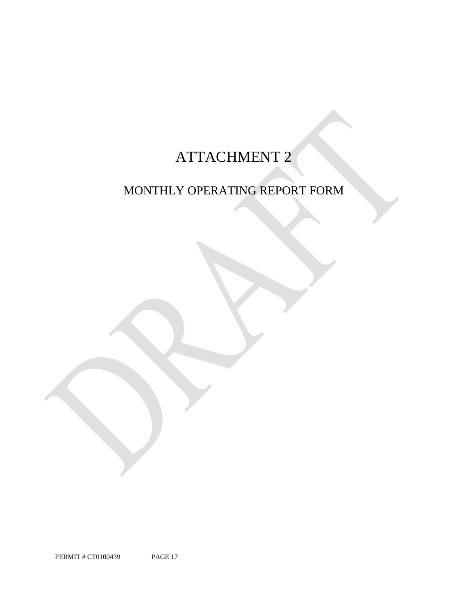# ATTACHMENT 2

# MONTHLY OPERATING REPORT FORM

PAGE 17 PERMIT # CT0100439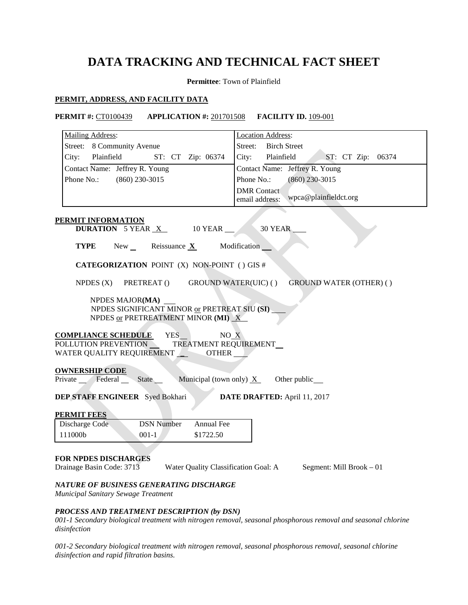# **DATA TRACKING AND TECHNICAL FACT SHEET**

**Permittee**: Town of Plainfield

# **PERMIT, ADDRESS, AND FACILITY DATA**

*disinfection*

# **PERMIT #: CT0100439**

| <b>PERMIT #: CT0100439</b><br><b>APPLICATION #: 201701508</b>                                                                                                               | <b>FACILITY ID. 109-001</b>                                   |  |  |  |  |  |
|-----------------------------------------------------------------------------------------------------------------------------------------------------------------------------|---------------------------------------------------------------|--|--|--|--|--|
| <b>Mailing Address:</b>                                                                                                                                                     | <b>Location Address:</b>                                      |  |  |  |  |  |
| Street: 8 Community Avenue                                                                                                                                                  | Street: Birch Street                                          |  |  |  |  |  |
| Plainfield<br>ST: CT Zip: 06374<br>City:                                                                                                                                    | City: Plainfield<br>ST: CT Zip: 06374                         |  |  |  |  |  |
| Contact Name: Jeffrey R. Young                                                                                                                                              | Contact Name: Jeffrey R. Young                                |  |  |  |  |  |
| Phone No.: (860) 230-3015                                                                                                                                                   | Phone No.:<br>$(860)$ 230-3015                                |  |  |  |  |  |
|                                                                                                                                                                             | <b>DMR</b> Contact<br>wpca@plainfieldct.org<br>email address: |  |  |  |  |  |
| <b>PERMIT INFORMATION</b><br><b>DURATION</b> 5 YEAR <u>X</u><br>10 YEAR __                                                                                                  | 30 YEAR                                                       |  |  |  |  |  |
| Reissuance $\underline{\mathbf{X}}$<br>TYPE<br>$New_{\perp}$                                                                                                                | Modification                                                  |  |  |  |  |  |
| <b>CATEGORIZATION POINT (X) NON-POINT () GIS #</b>                                                                                                                          |                                                               |  |  |  |  |  |
| NPDES $(X)$<br>PRETREAT ()<br><b>GROUND WATER(UIC) ()</b><br><b>GROUND WATER (OTHER) ()</b>                                                                                 |                                                               |  |  |  |  |  |
| NPDES MAJOR(MA)<br>NPDES SIGNIFICANT MINOR or PRETREAT SIU (SI)<br>NPDES or PRETREATMENT MINOR (MI) X                                                                       |                                                               |  |  |  |  |  |
| YES_<br><b>COMPLIANCE SCHEDULE</b><br>NO X<br>POLLUTION PREVENTION TREATMENT REQUIREMENT<br>WATER QUALITY REQUIREMENT <b>OTHER</b>                                          |                                                               |  |  |  |  |  |
| <b>OWNERSHIP CODE</b><br>Private Federal State<br>Municipal (town only) $X$<br>Other public_                                                                                |                                                               |  |  |  |  |  |
| <b>DEP STAFF ENGINEER</b> Syed Bokhari                                                                                                                                      | DATE DRAFTED: April 11, 2017                                  |  |  |  |  |  |
| <b>PERMIT FEES</b>                                                                                                                                                          |                                                               |  |  |  |  |  |
| <b>DSN Number</b><br>Annual Fee<br>Discharge Code<br>111000b<br>$001-1$<br>\$1722.50                                                                                        |                                                               |  |  |  |  |  |
| FOR NPDES DISCHARGES<br>Drainage Basin Code: 3713<br>Water Quality Classification Goal: A<br>NATURE OF BUSINESS GENERATING DISCHARGE<br>Municipal Sanitary Sewage Treatment | Segment: Mill Brook - 01                                      |  |  |  |  |  |
| PROCESS AND TREATMENT DESCRIPTION (by DSN)<br>001-1 Secondary biological treatment with nitrogen removal, seasonal phosphorous removal and seasonal chlorine                |                                                               |  |  |  |  |  |

 *001-2 Secondary biological treatment with nitrogen removal, seasonal phosphorous removal, seasonal chlorine disinfection and rapid filtration basins.*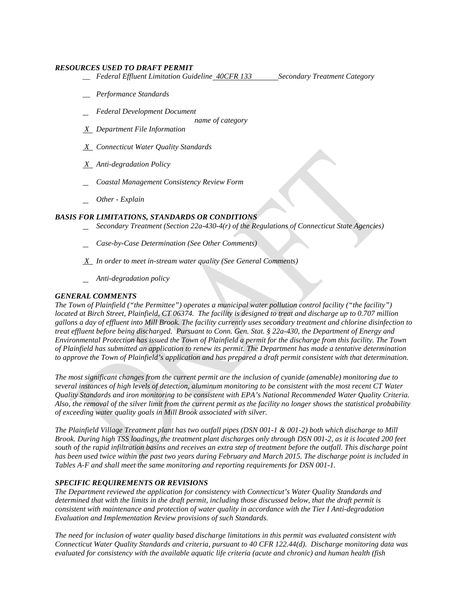## *RESOURCES USED TO DRAFT PERMIT*

- *\_\_ Federal Effluent Limitation Guideline 40CFR 133 Secondary Treatment Category*
- *\_\_ Performance Standards*

- *Federal Development Document* 
	- name of category
- *C Department File Information*
- Connecticut Water Quality Standards
- **Anti-degradation Policy**
- *name of category*<br>
<u>*X*</u> *Connecticut Water Quality Standards*<br>
<u>*X*</u> *Anti-degradation Policy*<br>Coastal Management Consistency Review Form
- *Other - Explain*

# *BASIS FOR LIMITATIONS, STANDARDS OR CONDITIONS*

- *Secondary Treatment (Section 22a-430-4(r) of the Regulations of Connecticut State Agencies)*
- *Case-by-Case Determination (See Other Comments)*
- *X In order to meet in-stream water quality (See General Comments)*
- *Anti-degradation policy*

# *GENERAL COMMENTS*

 *located at Birch Street, Plainfield, CT 06374. The facility is designed to treat and discharge up to 0.707 million*  to approve the Town of Plainfield's application and has prepared a draft permit consistent with that determination. *The Town of Plainfield ("the Permittee") operates a municipal water pollution control facility ("the facility") gallons a day of effluent into Mill Brook. The facility currently uses secondary treatment and chlorine disinfection to treat effluent before being discharged. Pursuant to Conn. Gen. Stat. § 22a-430, the Department of Energy and Environmental Protection has issued the Town of Plainfield a permit for the discharge from this facility. The Town of Plainfield has submitted an application to renew its permit. The Department has made a tentative determination* 

Quality Standards and iron monitoring to be consistent with EPA's National Recommended Water Quality Criteria. of exceeding water quality goals in Mill Brook associated with silver. The most significant changes from the current permit are the inclusion of cyanide (amenable) monitoring due to *several instances of high levels of detection, aluminum monitoring to be consistent with the most recent CT Water*  Also, the removal of the silver limit from the current permit as the facility no longer shows the statistical probability

of exceeding water quality goals in Mill Brook associated with silver.<br>The Plainfield Village Treatment plant has two outfall pipes (DSN 001-1 & 001-2) both which discharge to Mill *Brook. During high TSS loadings, the treatment plant discharges only through DSN 001-2, as it is located 200 feet south of the rapid infiltration basins and receives an extra step of treatment before the outfall. This discharge point has been used twice within the past two years during February and March 2015. The discharge point is included in Tables A-F and shall meet the same monitoring and reporting requirements for DSN 001-1.* 

# *SPECIFIC REQUIREMENTS OR REVISIONS*

*The Department reviewed the application for consistency with Connecticut's Water Quality Standards and determined that with the limits in the draft permit, including those discussed below, that the draft permit is consistent with maintenance and protection of water quality in accordance with the Tier I Anti-degradation Evaluation and Implementation Review provisions of such Standards.* 

 *Connecticut Water Quality Standards and criteria, pursuant to 40 CFR 122.44(d). Discharge monitoring data was The need for inclusion of water quality based discharge limitations in this permit was evaluated consistent with evaluated for consistency with the available aquatic life criteria (acute and chronic) and human health (fish*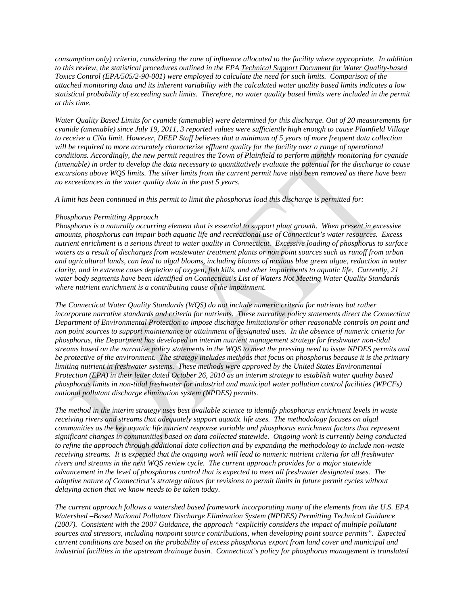*consumption only) criteria, considering the zone of influence allocated to the facility where appropriate. In addition to this review, the statistical procedures outlined in the EPA Technical Support Document for Water Quality-based Toxics Control (EPA/505/2-90-001) were employed to calculate the need for such limits. Comparison of the attached monitoring data and its inherent variability with the calculated water quality based limits indicates a low statistical probability of exceeding such limits. Therefore, no water quality based limits were included in the permit at this time.* 

*Water Quality Based Limits for cyanide (amenable) were determined for this discharge. Out of 20 measurements for cyanide (amenable) since July 19, 2011, 3 reported values were sufficiently high enough to cause Plainfield Village to receive a CNa limit. However, DEEP Staff believes that a minimum of 5 years of more frequent data collection*  will be required to more accurately characterize effluent quality for the facility over a range of operational *conditions. Accordingly, the new permit requires the Town of Plainfield to perform monthly monitoring for cyanide (amenable) in order to develop the data necessary to quantitatively evaluate the potential for the discharge to cause excursions above WQS limits. The silver limits from the current permit have also been removed as there have been no exceedances in the water quality data in the past 5 years.* 

*A limit has been continued in this permit to limit the phosphorus load this discharge is permitted for:* 

# *Phosphorus Permitting Approach*

 *water body segments have been identified on Connecticut's List of Waters Not Meeting Water Quality Standards Phosphorus is a naturally occurring element that is essential to support plant growth. When present in excessive amounts, phosphorus can impair both aquatic life and recreational use of Connecticut's water resources. Excess nutrient enrichment is a serious threat to water quality in Connecticut. Excessive loading of phosphorus to surface waters as a result of discharges from wastewater treatment plants or non point sources such as runoff from urban and agricultural lands, can lead to algal blooms, including blooms of noxious blue green algae, reduction in water clarity, and in extreme cases depletion of oxygen, fish kills, and other impairments to aquatic life. Currently, 21 where nutrient enrichment is a contributing cause of the impairment.* 

 *phosphorus limits in non-tidal freshwater for industrial and municipal water pollution control facilities (WPCFs) national pollutant discharge elimination system (NPDES) permits. The Connecticut Water Quality Standards (WQS) do not include numeric criteria for nutrients but rather incorporate narrative standards and criteria for nutrients. These narrative policy statements direct the Connecticut Department of Environmental Protection to impose discharge limitations or other reasonable controls on point and non point sources to support maintenance or attainment of designated uses. In the absence of numeric criteria for phosphorus, the Department has developed an interim nutrient management strategy for freshwater non-tidal streams based on the narrative policy statements in the WQS to meet the pressing need to issue NPDES permits and be protective of the environment. The strategy includes methods that focus on phosphorus because it is the primary limiting nutrient in freshwater systems. These methods were approved by the United States Environmental Protection (EPA) in their letter dated October 26, 2010 as an interim strategy to establish water quality based* 

*national pollutant discharge elimination system (NPDES) permits. The method in the interim strategy uses best available science to identify phosphorus enrichment levels in waste receiving rivers and streams that adequately support aquatic life uses. The methodology focuses on algal communities as the key aquatic life nutrient response variable and phosphorus enrichment factors that represent significant changes in communities based on data collected statewide. Ongoing work is currently being conducted to refine the approach through additional data collection and by expanding the methodology to include non-waste receiving streams. It is expected that the ongoing work will lead to numeric nutrient criteria for all freshwater rivers and streams in the next WQS review cycle. The current approach provides for a major statewide advancement in the level of phosphorus control that is expected to meet all freshwater designated uses. The adaptive nature of Connecticut's strategy allows for revisions to permit limits in future permit cycles without delaying action that we know needs to be taken today.* 

*The current approach follows a watershed based framework incorporating many of the elements from the U.S. EPA Watershed –Based National Pollutant Discharge Elimination System (NPDES) Permitting Technical Guidance (2007). Consistent with the 2007 Guidance, the approach "explicitly considers the impact of multiple pollutant sources and stressors, including nonpoint source contributions, when developing point source permits". Expected current conditions are based on the probability of excess phosphorus export from land cover and municipal and industrial facilities in the upstream drainage basin. Connecticut's policy for phosphorus management is translated*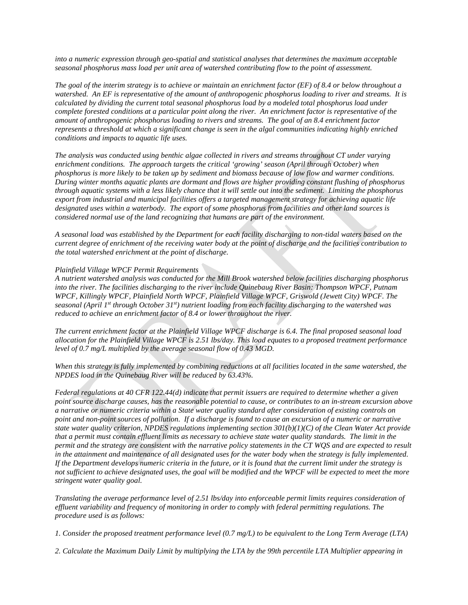*seasonal phosphorus mass load per unit area of watershed contributing flow to the point of assessment. into a numeric expression through geo-spatial and statistical analyses that determines the maximum acceptable* 

*conditions and impacts to aquatic life uses. The goal of the interim strategy is to achieve or maintain an enrichment factor (EF) of 8.4 or below throughout a watershed. An EF is representative of the amount of anthropogenic phosphorus loading to river and streams. It is calculated by dividing the current total seasonal phosphorus load by a modeled total phosphorus load under complete forested conditions at a particular point along the river. An enrichment factor is representative of the amount of anthropogenic phosphorus loading to rivers and streams. The goal of an 8.4 enrichment factor represents a threshold at which a significant change is seen in the algal communities indicating highly enriched* 

*conditions and impacts to aquatic life uses. The analysis was conducted using benthic algae collected in rivers and streams throughout CT under varying enrichment conditions. The approach targets the critical 'growing' season (April through October) when phosphorus is more likely to be taken up by sediment and biomass because of low flow and warmer conditions. During winter months aquatic plants are dormant and flows are higher providing constant flushing of phosphorus through aquatic systems with a less likely chance that it will settle out into the sediment. Limiting the phosphorus export from industrial and municipal facilities offers a targeted management strategy for achieving aquatic life designated uses within a waterbody. The export of some phosphorus from facilities and other land sources is considered normal use of the land recognizing that humans are part of the environment.* 

*A seasonal load was established by the Department for each facility discharging to non-tidal waters based on the current degree of enrichment of the receiving water body at the point of discharge and the facilities contribution to the total watershed enrichment at the point of discharge.* 

# *Plainfield Village WPCF Permit Requirements*

*A nutrient watershed analysis was conducted for the Mill Brook watershed below facilities discharging phosphorus into the river. The facilities discharging to the river include Quinebaug River Basin: Thompson WPCF, Putnam WPCF, Killingly WPCF, Plainfield North WPCF, Plainfield Village WPCF, Griswold (Jewett City) WPCF. The seasonal (April 1st through October 31st) nutrient loading from each facility discharging to the watershed was reduced to achieve an enrichment factor of 8.4 or lower throughout the river.* 

*The current enrichment factor at the Plainfield Village WPCF discharge is 6.4. The final proposed seasonal load allocation for the Plainfield Village WPCF is 2.51 lbs/day. This load equates to a proposed treatment performance level of 0.7 mg/L multiplied by the average seasonal flow of 0.43 MGD.* 

*When this strategy is fully implemented by combining reductions at all facilities located in the same watershed, the NPDES load in the Quinebaug River will be reduced by 63.43%.* 

*Federal regulations at 40 CFR 122.44(d) indicate that permit issuers are required to determine whether a given point source discharge causes, has the reasonable potential to cause, or contributes to an in-stream excursion above a narrative or numeric criteria within a State water quality standard after consideration of existing controls on point and non-point sources of pollution. If a discharge is found to cause an excursion of a numeric or narrative state water quality criterion, NPDES regulations implementing section 301(b)(1)(C) of the Clean Water Act provide that a permit must contain effluent limits as necessary to achieve state water quality standards. The limit in the permit and the strategy are consistent with the narrative policy statements in the CT WOS and are expected to result in the attainment and maintenance of all designated uses for the water body when the strategy is fully implemented. If the Department develops numeric criteria in the future, or it is found that the current limit under the strategy is*  not sufficient to achieve designated uses, the goal will be modified and the WPCF will be expected to meet the more *stringent water quality goal.* 

*Translating the average performance level of 2.51 lbs/day into enforceable permit limits requires consideration of effluent variability and frequency of monitoring in order to comply with federal permitting regulations. The procedure used is as follows:* 

*1. Consider the proposed treatment performance level (0.7 mg/L) to be equivalent to the Long Term Average (LTA)*

*2. Calculate the Maximum Daily Limit by multiplying the LTA by the 99th percentile LTA Multiplier appearing in*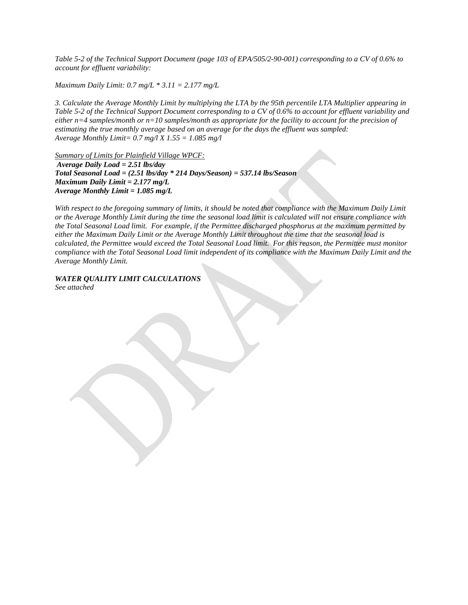*Table 5-2 of the Technical Support Document (page 103 of EPA/505/2-90-001) corresponding to a CV of 0.6% to account for effluent variability:* 

 *Maximum Daily Limit: 0.7 mg/L \* 3.11 = 2.177 mg/L* 

 *Average Monthly Limit= 0.7 mg/l X 1.55 = 1.085 mg/l 3. Calculate the Average Monthly Limit by multiplying the LTA by the 95th percentile LTA Multiplier appearing in Table 5-2 of the Technical Support Document corresponding to a CV of 0.6% to account for effluent variability and either n=4 samples/month or n=10 samples/month as appropriate for the facility to account for the precision of estimating the true monthly average based on an average for the days the effluent was sampled:*

*Summary of Limits for Plainfield Village WPCF: Average Daily Load = 2.51 lbs/day Total Seasonal Load = (2.51 lbs/day \* 214 Days/Season) = 537.14 lbs/Season Maximum Daily Limit = 2.177 mg/L Average Monthly Limit = 1.085 mg/L* 

With respect to the foregoing summary of limits, it should be noted that compliance with the Maximum Daily Limit *or the Average Monthly Limit during the time the seasonal load limit is calculated will not ensure compliance with the Total Seasonal Load limit. For example, if the Permittee discharged phosphorus at the maximum permitted by either the Maximum Daily Limit or the Average Monthly Limit throughout the time that the seasonal load is calculated, the Permittee would exceed the Total Seasonal Load limit. For this reason, the Permittee must monitor compliance with the Total Seasonal Load limit independent of its compliance with the Maximum Daily Limit and the Average Monthly Limit.* 

*WATER QUALITY LIMIT CALCULATIONS See attached*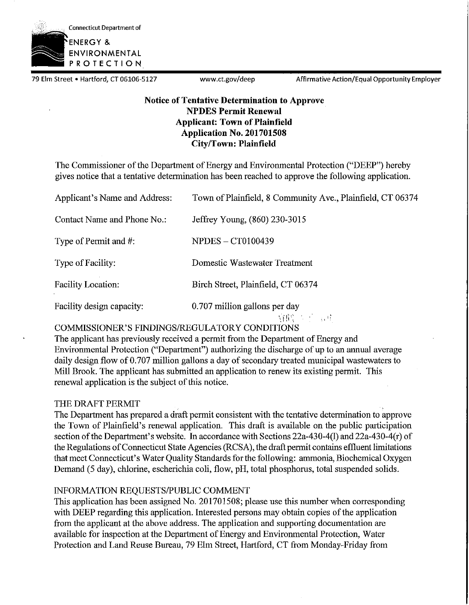

79 Elm Street • Hartford, CT 06106-5127 www.ct.gov/deep Affirmative Action/Equal Opportunity Employer

# **Notice of Tentative Determination to Approve NPDES Permit Renewal Applicant: Town of Plainfield Application No. 201701508 City/Town: Plainfield**

The Commissioner of the Department of Energy and Environmental Protection ("DEEP") hereby gives notice that a tentative determination has been reached to approve the following application.

| Applicant's Name and Address: | Town of Plainfield, 8 Community Ave., Plainfield, CT 06374 |
|-------------------------------|------------------------------------------------------------|
| Contact Name and Phone No.:   | Jeffrey Young, (860) 230-3015                              |
| Type of Permit and #:         | <b>NPDES-CT0100439</b>                                     |
| Type of Facility:             | Domestic Wastewater Treatment                              |
| <b>Facility Location:</b>     | Birch Street, Plainfield, CT 06374                         |
| Facility design capacity:     | 0.707 million gallons per day<br>和的 医三氯甲                   |

COMMISSIONER'S FINDINGS/REGULATORY CONDITIONS

The applicant has previously received a permit from the Department of Energy and Environmental Protection ("Department") authorizing the discharge of up to an annual average daily design flow of 0.707 million gallons a day of secondary treated municipal wastewaters to Mill Brook. The applicant has submitted an application to renew its existing permit. This renewal application is the subject of this notice.

# THE DRAFT PERMIT

The Department has prepared a draft permit consistent with the tentative determination to approve the Town of Plainfield's renewal application. This draft is available on the public participation section of the Department's website. In accordance with Sections 22a-430-4(1) and 22a-430-4(r) of the Regulations ofConnecticut State Agencies (RCSA), the draft permit contains effluent limitations that meet Connecticut's Water Quality Standards for the following: ammonia, Biochemical Oxygen Demand (5 day), chlorine, escherichia coli, flow, pH, total phosphorus, total suspended solids.

# INFORMATION REQUESTS/PUBLIC COMMENT

This application has been assigned No. 201701508; please use this number when corresponding with DEEP regarding this application. Interested persons may obtain copies of the application from the applicant at the above address. The application and supporting documentation are available for inspection at the Department of Energy and Environmental Protection, Water Protection and Land Reuse Bureau, 79 Elm Street, Hartford, CT from Monday-Friday from